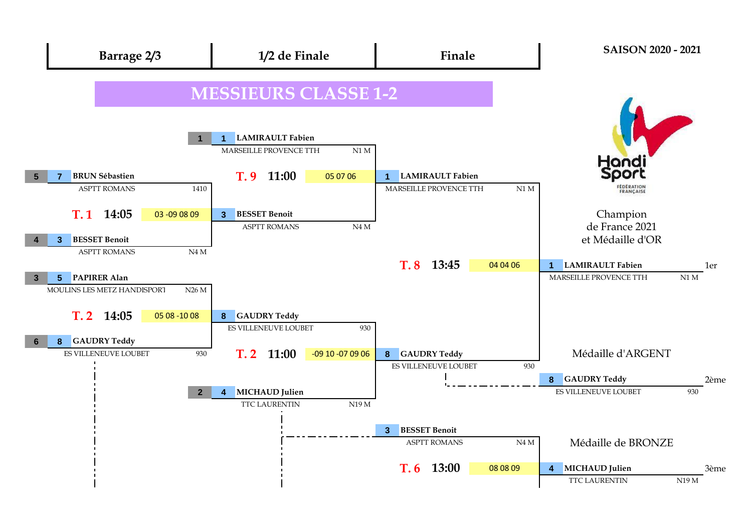